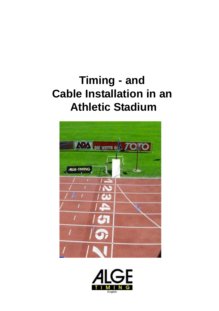# **Timing - and Cable Installation in an Athletic Stadium**



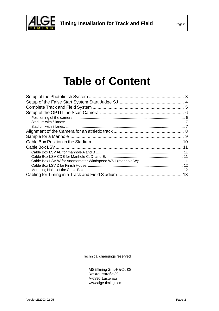

# **Table of Content**

Technical changings reserved

ALGE Timing GmbH & Co KG Rotkreuzstraße 39 A-6890 Lustenau www.alge-timing.com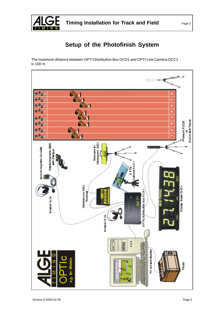<span id="page-2-0"></span>

# **Setup of the Photofinish System**

The maximum distance between OPTI Distribution Box OCD1 and OPTI Line Camera OCC1 is 100 m.

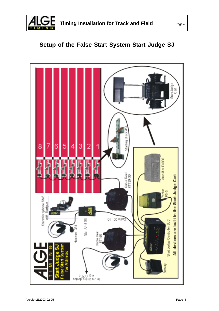<span id="page-3-0"></span>

# **Setup of the False Start System Start Judge SJ**

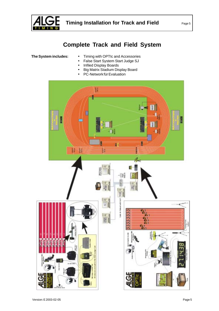<span id="page-4-0"></span>

## **Complete Track and Field System**

- **The System includes:** Timing with OPTIc and Accessories
	- False Start System Start Judge SJ
	- Infiled Display Boards
	- Big Matrix Stadium Display Board
	- PC-Network für Evaluation

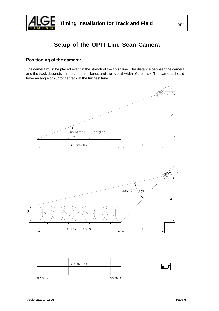<span id="page-5-0"></span>

# **Setup of the OPTI Line Scan Camera**

### **Positioning of the camera:**

The camera must be placed exact in the stretch of the finish line. The distance between the camera and the track depends on the amount of lanes and the overall width of the track. The camera should have an angle of 20° to the track at the furthest lane.

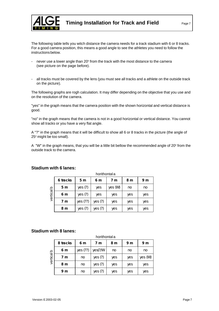<span id="page-6-0"></span>

The following table tells you witch distance the camera needs for a track stadium with 6 or 8 tracks. For a good camera position, this means a good angle to see the athletes you need to follow the instructions below.

- never use a lower angle than 20 $\degree$  from the track with the most distance to the camera (see picture on the page before).
- all tracks must be covered by the lens (you must see all tracks and a athlete on the outside track on the picture).

The following graphs are rogh calculation. It may differ depending on the objective that you use and on the resolution of the camera.

"yes" in the graph means that the camera position with the shown horizontal and vertical distance is good.

"no" in the graph means that the camera is not in a good horizontal or vertical distance. You cannot show all tracks or you have a very flat angle.

A "?" in the graph means that it will be difficult to show all 6 or 8 tracks in the picture (the angle of 25° might be too small).

A "W" in the graph means, that you will be a little bit bellow the recommended angle of 20 $^{\circ}$  from the outside track to the camera.

|            | 6 tracks       | 5 <sub>m</sub> | 6 m    | 7 m     | 8 m | 9 m |
|------------|----------------|----------------|--------|---------|-----|-----|
|            | 5 <sub>m</sub> | yes(?)         | yes    | yes (W) | no  | no  |
| vertical b | 6 m            | yes(?)         | yes    | yes     | yes | yes |
|            | 7 m            | yes (??)       | yes(?) | yes     | yes | yes |
|            | 8 m            | yes(?)         | yes(?) | yes     | yes | yes |

horithontal a

#### **Stadium with 6 lanes:**

#### **Stadium with 8 lanes:**

|            | horithontal a |          |               |     |                |         |
|------------|---------------|----------|---------------|-----|----------------|---------|
|            | 8 tracks      | 6 m      | 7 m           | 8 m | 9 <sub>m</sub> | 9 m     |
| vertical b | 6 m           | yes (??) | $yes$ (?/ $W$ | no  | no             | no      |
|            | 7 m           | no       | yes(?)        | yes | yes            | yes (W) |
|            | 8 m           | no       | yes(?)        | yes | yes            | yes     |
|            | 9 m           | no       | yes(?)        | yes | yes            | yes     |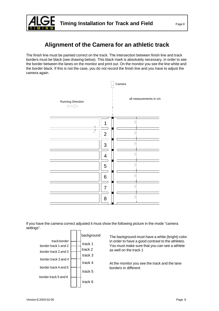<span id="page-7-0"></span>

# **Alignment of the Camera for an athletic track**

The finish line must be painted correct on the track. The intersection between finish line and track borders must be black (see drawing below). This black mark is absolutely necessary, in order to see the border between the lanes on the monitor and print out. On the monitor you see the line white and the border black. If this is not the case, you do not record the finish line and you have to adjust the camera again.



If you have the camera correct adjusted it must show the following picture in the mode "camera settings".



The background must have a white (bright) color in order to have a good contrast to the athletes. You must make sure that you can see a athlete as well on the track 1

At the monitor you see the track and the lane borders in different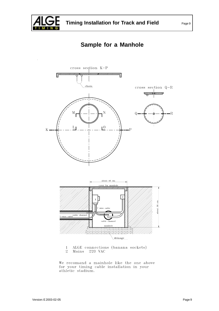<span id="page-8-0"></span>

## **Sample for a Manhole**



We recomand a mainhole like the one above<br>for your timing cable installation in your<br>athletic stadium.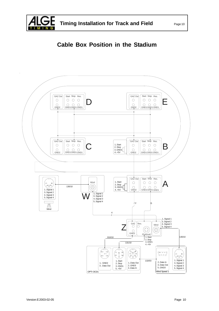<span id="page-9-0"></span>

# **Cable Box Position in the Stadium**

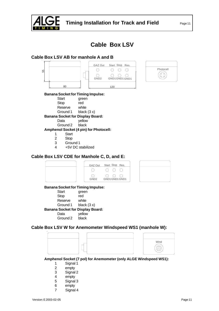<span id="page-10-0"></span>

## **Cable Box LSV**

### **Cable Box LSV AB for manhole A and B**





#### **Banana Socket for Timing Impulse:**

| Start       | green |
|-------------|-------|
| <b>Stop</b> | red   |

- 
- Reserve white

Ground 1 black (3 x)

### **Banana Socket for Display Board:**

Data yellow

Ground 2 black

#### **Amphenol Socket (4 pin) for Photocell:**

- 1 Start
- 2 Stop
- 3 Ground 1
- 4 +5V DC stabilized

### **Cable Box LSV CDE for Manhole C, D, and E:**



#### **Banana Socket for Timing Impulse:**

| Start                                   | green         |  |  |  |
|-----------------------------------------|---------------|--|--|--|
| <b>Stop</b>                             | red           |  |  |  |
| Reserve                                 | white         |  |  |  |
| Ground 1                                | black $(3 x)$ |  |  |  |
| <b>Banana Socket for Display Board:</b> |               |  |  |  |
| Data                                    | yellow        |  |  |  |
| Ground 2                                | black         |  |  |  |

### **Cable Box LSV W for Anemometer Windspeed WS1 (manhole W):**





**Amphenol Socket (7 pol) for Anemometer (only ALGE Windspeed WS1):**

- 1 Signal 1
- 2 empty
- 3 Signal 2
- 4 empty
- 5 Signal 3
- 6 empty
- 7 Signal 4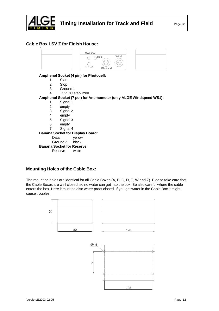<span id="page-11-0"></span>

### **Cable Box LSV Z for Finish House:**



#### **Amphenol Socket (4 pin) for Photocell:**

- 1 Start
- 2 Stop
- 3 Ground 1
- 4 +5V DC stabilized
- **Amphenol Socket (7 pol) for Anemometer (only ALGE Windspeed WS1):**
	- 1 Signal 1
	- 2 empty
	- 3 Signal 2
	- 4 empty
	- 5 Signal 3
	- 6 empty
	- 7 Signal 4

#### **Banana Socket for Display Board:**

Data yellow

Ground 2 black

### **Banana Socket for Reserve:**

Reserve white

#### **Mounting Holes of the Cable Box:**

The mounting holes are identical for all Cable Boxes (A, B, C, D, E, W and Z). Please take care that the Cable Boxes are well closed, so no water can get into the box. Be also careful where the cable enters the box. Here it must be also water proof closed. If you get water in the Cable Box it might cause troubles.